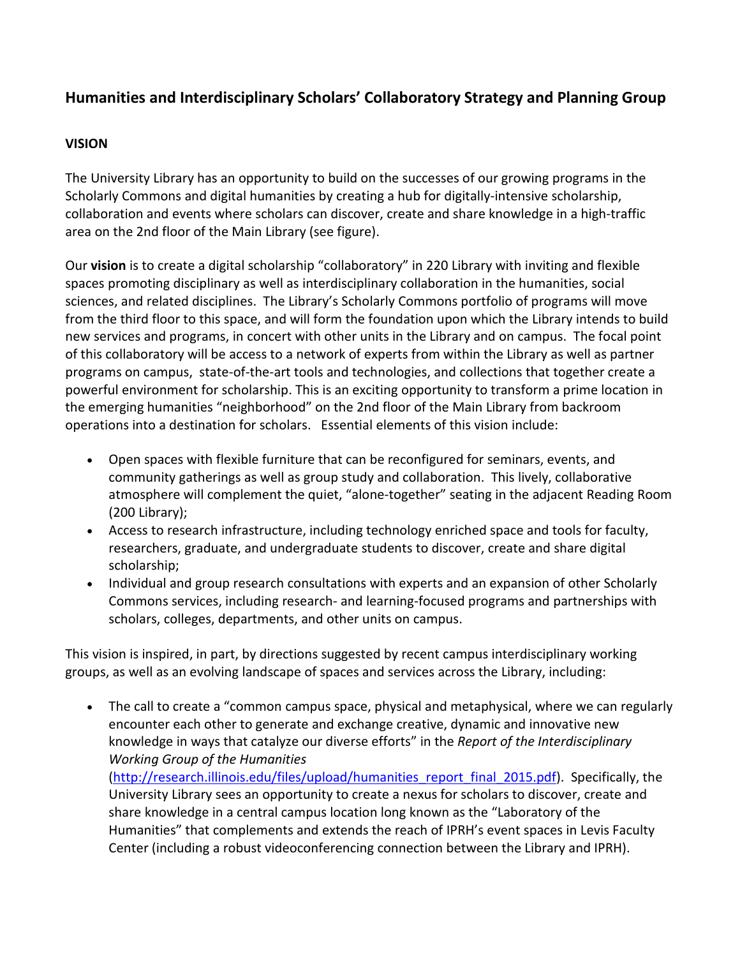# **Humanities and Interdisciplinary Scholars' Collaboratory Strategy and Planning Group**

#### **VISION**

The University Library has an opportunity to build on the successes of our growing programs in the Scholarly Commons and digital humanities by creating a hub for digitally-intensive scholarship, collaboration and events where scholars can discover, create and share knowledge in a high-traffic area on the 2nd floor of the Main Library (see figure).

Our **vision** is to create a digital scholarship "collaboratory" in 220 Library with inviting and flexible spaces promoting disciplinary as well as interdisciplinary collaboration in the humanities, social sciences, and related disciplines. The Library's Scholarly Commons portfolio of programs will move from the third floor to this space, and will form the foundation upon which the Library intends to build new services and programs, in concert with other units in the Library and on campus. The focal point of this collaboratory will be access to a network of experts from within the Library as well as partner programs on campus, state-of-the-art tools and technologies, and collections that together create a powerful environment for scholarship. This is an exciting opportunity to transform a prime location in the emerging humanities "neighborhood" on the 2nd floor of the Main Library from backroom operations into a destination for scholars. Essential elements of this vision include:

- Open spaces with flexible furniture that can be reconfigured for seminars, events, and community gatherings as well as group study and collaboration. This lively, collaborative atmosphere will complement the quiet, "alone-together" seating in the adjacent Reading Room (200 Library);
- Access to research infrastructure, including technology enriched space and tools for faculty, researchers, graduate, and undergraduate students to discover, create and share digital scholarship;
- Individual and group research consultations with experts and an expansion of other Scholarly Commons services, including research- and learning-focused programs and partnerships with scholars, colleges, departments, and other units on campus.

This vision is inspired, in part, by directions suggested by recent campus interdisciplinary working groups, as well as an evolving landscape of spaces and services across the Library, including:

• The call to create a "common campus space, physical and metaphysical, where we can regularly encounter each other to generate and exchange creative, dynamic and innovative new knowledge in ways that catalyze our diverse efforts" in the *Report of the Interdisciplinary Working Group of the Humanities*  [\(http://research.illinois.edu/files/upload/humanities\\_report\\_final\\_2015.pdf\)](http://research.illinois.edu/files/upload/humanities_report_final_2015.pdf). Specifically, the University Library sees an opportunity to create a nexus for scholars to discover, create and share knowledge in a central campus location long known as the "Laboratory of the Humanities" that complements and extends the reach of IPRH's event spaces in Levis Faculty Center (including a robust videoconferencing connection between the Library and IPRH).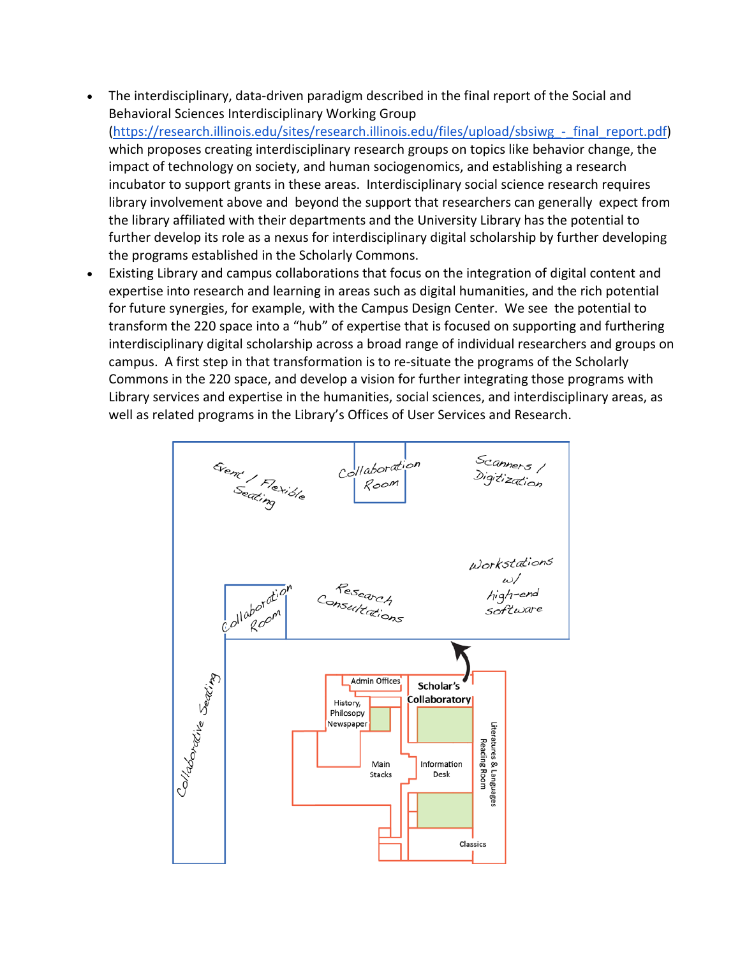- The interdisciplinary, data-driven paradigm described in the final report of the Social and Behavioral Sciences Interdisciplinary Working Group [\(https://research.illinois.edu/sites/research.illinois.edu/files/upload/sbsiwg\\_-\\_final\\_report.pdf\)](https://research.illinois.edu/sites/research.illinois.edu/files/upload/sbsiwg_-_final_report.pdf) which proposes creating interdisciplinary research groups on topics like behavior change, the impact of technology on society, and human sociogenomics, and establishing a research incubator to support grants in these areas. Interdisciplinary social science research requires library involvement above and beyond the support that researchers can generally expect from the library affiliated with their departments and the University Library has the potential to further develop its role as a nexus for interdisciplinary digital scholarship by further developing the programs established in the Scholarly Commons.
- Existing Library and campus collaborations that focus on the integration of digital content and expertise into research and learning in areas such as digital humanities, and the rich potential for future synergies, for example, with the Campus Design Center. We see the potential to transform the 220 space into a "hub" of expertise that is focused on supporting and furthering interdisciplinary digital scholarship across a broad range of individual researchers and groups on campus. A first step in that transformation is to re-situate the programs of the Scholarly Commons in the 220 space, and develop a vision for further integrating those programs with Library services and expertise in the humanities, social sciences, and interdisciplinary areas, as well as related programs in the Library's Offices of User Services and Research.

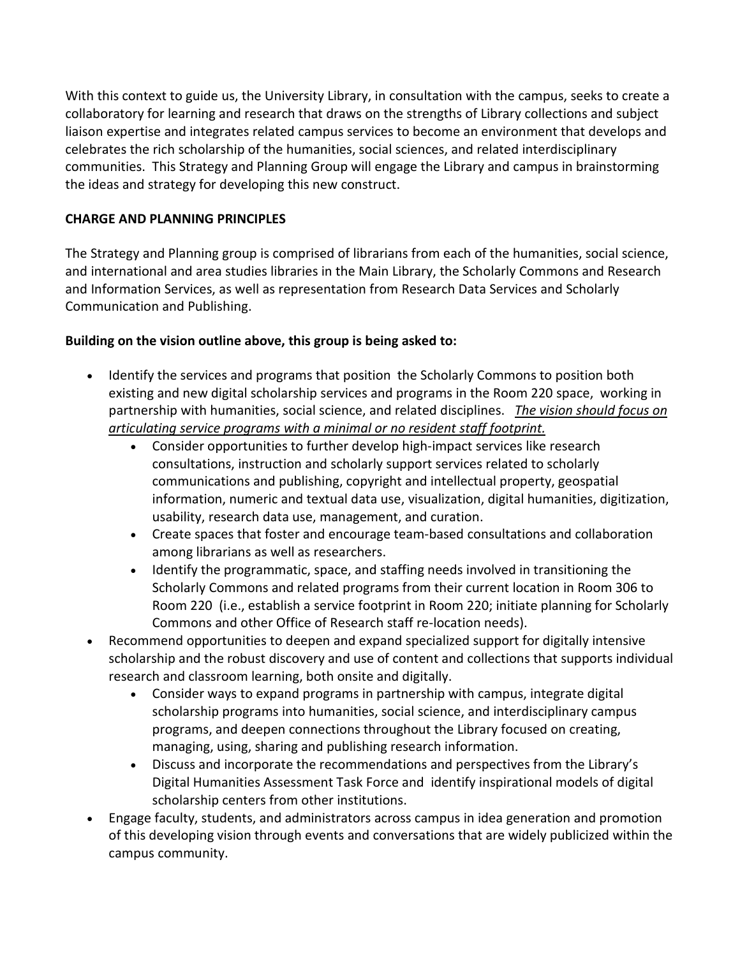With this context to guide us, the University Library, in consultation with the campus, seeks to create a collaboratory for learning and research that draws on the strengths of Library collections and subject liaison expertise and integrates related campus services to become an environment that develops and celebrates the rich scholarship of the humanities, social sciences, and related interdisciplinary communities. This Strategy and Planning Group will engage the Library and campus in brainstorming the ideas and strategy for developing this new construct.

## **CHARGE AND PLANNING PRINCIPLES**

The Strategy and Planning group is comprised of librarians from each of the humanities, social science, and international and area studies libraries in the Main Library, the Scholarly Commons and Research and Information Services, as well as representation from Research Data Services and Scholarly Communication and Publishing.

## **Building on the vision outline above, this group is being asked to:**

- Identify the services and programs that position the Scholarly Commons to position both existing and new digital scholarship services and programs in the Room 220 space, working in partnership with humanities, social science, and related disciplines. *The vision should focus on articulating service programs with a minimal or no resident staff footprint.*
	- Consider opportunities to further develop high-impact services like research consultations, instruction and scholarly support services related to scholarly communications and publishing, copyright and intellectual property, geospatial information, numeric and textual data use, visualization, digital humanities, digitization, usability, research data use, management, and curation.
	- Create spaces that foster and encourage team-based consultations and collaboration among librarians as well as researchers.
	- Identify the programmatic, space, and staffing needs involved in transitioning the Scholarly Commons and related programs from their current location in Room 306 to Room 220 (i.e., establish a service footprint in Room 220; initiate planning for Scholarly Commons and other Office of Research staff re-location needs).
- Recommend opportunities to deepen and expand specialized support for digitally intensive scholarship and the robust discovery and use of content and collections that supports individual research and classroom learning, both onsite and digitally.
	- Consider ways to expand programs in partnership with campus, integrate digital scholarship programs into humanities, social science, and interdisciplinary campus programs, and deepen connections throughout the Library focused on creating, managing, using, sharing and publishing research information.
	- Discuss and incorporate the recommendations and perspectives from the Library's Digital Humanities Assessment Task Force and identify inspirational models of digital scholarship centers from other institutions.
- Engage faculty, students, and administrators across campus in idea generation and promotion of this developing vision through events and conversations that are widely publicized within the campus community.